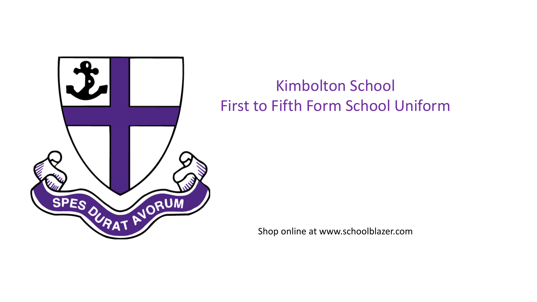

# Kimbolton School First to Fifth Form School Uniform

Shop online at www.schoolblazer.com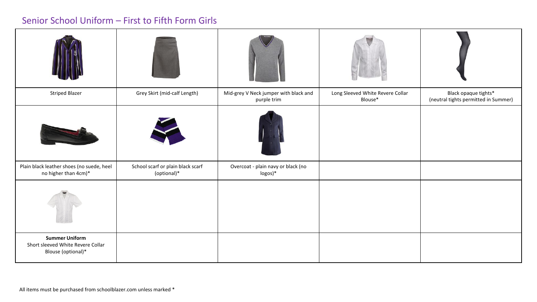#### Senior School Uniform – First to Fifth Form Girls

| <b>Striped Blazer</b>                                                            | Grey Skirt (mid-calf Length)                     | Mid-grey V Neck jumper with black and<br>purple trim | Long Sleeved White Revere Collar<br>Blouse* | Black opaque tights*<br>(neutral tights permitted in Summer) |
|----------------------------------------------------------------------------------|--------------------------------------------------|------------------------------------------------------|---------------------------------------------|--------------------------------------------------------------|
|                                                                                  |                                                  |                                                      |                                             |                                                              |
| Plain black leather shoes (no suede, heel<br>no higher than 4cm)*                | School scarf or plain black scarf<br>(optional)* | Overcoat - plain navy or black (no<br>logos)*        |                                             |                                                              |
|                                                                                  |                                                  |                                                      |                                             |                                                              |
| <b>Summer Uniform</b><br>Short sleeved White Revere Collar<br>Blouse (optional)* |                                                  |                                                      |                                             |                                                              |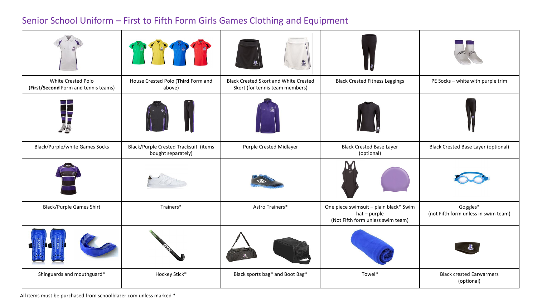### Senior School Uniform – First to Fifth Form Girls Games Clothing and Equipment

|                                                            |                                                             | 墨                                                                               |                                                                                             |                                                  |
|------------------------------------------------------------|-------------------------------------------------------------|---------------------------------------------------------------------------------|---------------------------------------------------------------------------------------------|--------------------------------------------------|
| White Crested Polo<br>(First/Second Form and tennis teams) | House Crested Polo (Third Form and<br>above)                | <b>Black Crested Skort and White Crested</b><br>Skort (for tennis team members) | <b>Black Crested Fitness Leggings</b>                                                       | PE Socks - white with purple trim                |
|                                                            |                                                             |                                                                                 |                                                                                             |                                                  |
| <b>Black/Purple/white Games Socks</b>                      | Black/Purple Crested Tracksuit (items<br>bought separately) | Purple Crested Midlayer                                                         | <b>Black Crested Base Layer</b><br>(optional)                                               | <b>Black Crested Base Layer (optional)</b>       |
|                                                            |                                                             |                                                                                 |                                                                                             |                                                  |
| <b>Black/Purple Games Shirt</b>                            | Trainers*                                                   | Astro Trainers*                                                                 | One piece swimsuit - plain black* Swim<br>hat - purple<br>(Not Fifth form unless swim team) | Goggles*<br>(not Fifth form unless in swim team) |
|                                                            |                                                             |                                                                                 |                                                                                             |                                                  |
| Shinguards and mouthguard*                                 | Hockey Stick*                                               | Black sports bag* and Boot Bag*                                                 | Towel*                                                                                      | <b>Black crested Earwarmers</b><br>(optional)    |

All items must be purchased from schoolblazer.com unless marked \*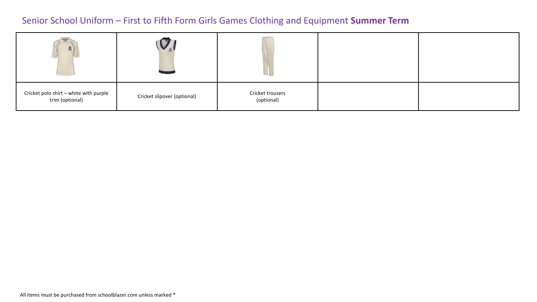#### Senior School Uniform – First to Fifth Form Girls Games Clothing and Equipment **Summer Term**

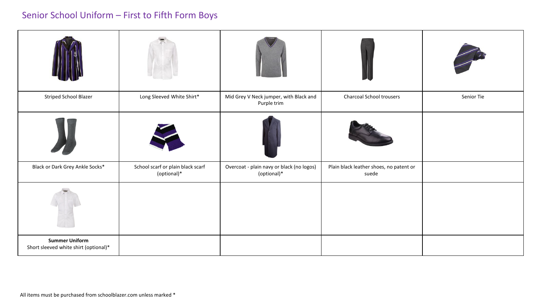## Senior School Uniform – First to Fifth Form Boys

| <b>Striped School Blazer</b>                                   | Long Sleeved White Shirt*                        | Mid Grey V Neck jumper, with Black and<br>Purple trim    | <b>Charcoal School trousers</b>                  | Senior Tie |
|----------------------------------------------------------------|--------------------------------------------------|----------------------------------------------------------|--------------------------------------------------|------------|
|                                                                |                                                  |                                                          |                                                  |            |
| Black or Dark Grey Ankle Socks*                                | School scarf or plain black scarf<br>(optional)* | Overcoat - plain navy or black (no logos)<br>(optional)* | Plain black leather shoes, no patent or<br>suede |            |
|                                                                |                                                  |                                                          |                                                  |            |
| <b>Summer Uniform</b><br>Short sleeved white shirt (optional)* |                                                  |                                                          |                                                  |            |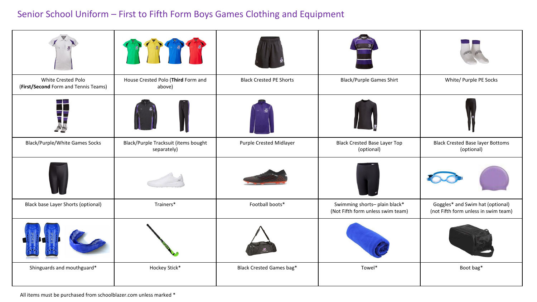### Senior School Uniform – First to Fifth Form Boys Games Clothing and Equipment

|                                                            | LEADER CAR                                          |                                 |                                                                    |                                                                          |
|------------------------------------------------------------|-----------------------------------------------------|---------------------------------|--------------------------------------------------------------------|--------------------------------------------------------------------------|
| White Crested Polo<br>(First/Second Form and Tennis Teams) | House Crested Polo (Third Form and<br>above)        | <b>Black Crested PE Shorts</b>  | <b>Black/Purple Games Shirt</b>                                    | White/ Purple PE Socks                                                   |
| $-100$                                                     |                                                     |                                 |                                                                    |                                                                          |
| <b>Black/Purple/White Games Socks</b>                      | Black/Purple Tracksuit (items bought<br>separately) | Purple Crested Midlayer         | <b>Black Crested Base Layer Top</b><br>(optional)                  | <b>Black Crested Base layer Bottoms</b><br>(optional)                    |
|                                                            |                                                     |                                 |                                                                    |                                                                          |
| Black base Layer Shorts (optional)                         | Trainers*                                           | Football boots*                 | Swimming shorts- plain black*<br>(Not Fifth form unless swim team) | Goggles* and Swim hat (optional)<br>(not Fifth form unless in swim team) |
|                                                            |                                                     |                                 |                                                                    |                                                                          |
| Shinguards and mouthguard*                                 | Hockey Stick*                                       | <b>Black Crested Games bag*</b> | Towel*                                                             | Boot bag*                                                                |

All items must be purchased from schoolblazer.com unless marked \*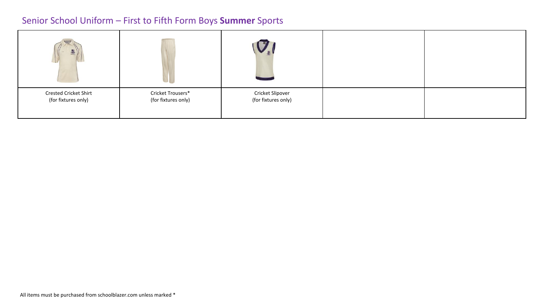### Senior School Uniform – First to Fifth Form Boys **Summer** Sports